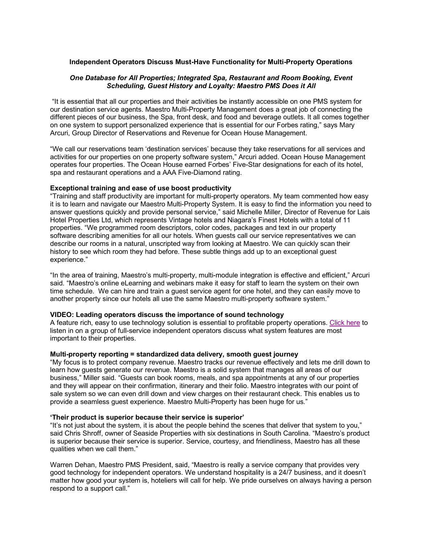# **Independent Operators Discuss Must-Have Functionality for Multi-Property Operations**

## *One Database for All Properties; Integrated Spa, Restaurant and Room Booking, Event Scheduling, Guest History and Loyalty: Maestro PMS Does it All*

"It is essential that all our properties and their activities be instantly accessible on one PMS system for our destination service agents. Maestro Multi-Property Management does a great job of connecting the different pieces of our business, the Spa, front desk, and food and beverage outlets. It all comes together on one system to support personalized experience that is essential for our Forbes rating," says Mary Arcuri, Group Director of Reservations and Revenue for Ocean House Management.

"We call our reservations team 'destination services' because they take reservations for all services and activities for our properties on one property software system," Arcuri added. Ocean House Management operates four properties. The Ocean House earned Forbes' Five-Star designations for each of its hotel, spa and restaurant operations and a AAA Five-Diamond rating.

## **Exceptional training and ease of use boost productivity**

"Training and staff productivity are important for multi-property operators. My team commented how easy it is to learn and navigate our Maestro Multi-Property System. It is easy to find the information you need to answer questions quickly and provide personal service," said Michelle Miller, Director of Revenue for Lais Hotel Properties Ltd, which represents Vintage hotels and Niagara's Finest Hotels with a total of 11 properties. "We programmed room descriptors, color codes, packages and text in our property software describing amenities for all our hotels. When guests call our service representatives we can describe our rooms in a natural, unscripted way from looking at Maestro. We can quickly scan their history to see which room they had before. These subtle things add up to an exceptional guest experience."

"In the area of training, Maestro's multi-property, multi-module integration is effective and efficient," Arcuri said. "Maestro's online eLearning and webinars make it easy for staff to learn the system on their own time schedule. We can hire and train a guest service agent for one hotel, and they can easily move to another property since our hotels all use the same Maestro multi-property software system."

### **VIDEO: Leading operators discuss the importance of sound technology**

A feature rich, easy to use technology solution is essential to profitable property operations. Click here to listen in on a group of full-service independent operators discuss what system features are most important to their properties.

#### **Multi-property reporting = standardized data delivery, smooth guest journey**

"My focus is to protect company revenue. Maestro tracks our revenue effectively and lets me drill down to learn how guests generate our revenue. Maestro is a solid system that manages all areas of our business," Miller said. "Guests can book rooms, meals, and spa appointments at any of our properties and they will appear on their confirmation, itinerary and their folio. Maestro integrates with our point of sale system so we can even drill down and view charges on their restaurant check. This enables us to provide a seamless guest experience. Maestro Multi-Property has been huge for us."

#### **'Their product is superior because their service is superior'**

"It's not just about the system, it is about the people behind the scenes that deliver that system to you," said Chris Shroff, owner of Seaside Properties with six destinations in South Carolina. "Maestro's product is superior because their service is superior. Service, courtesy, and friendliness, Maestro has all these qualities when we call them."

Warren Dehan, Maestro PMS President, said, "Maestro is really a service company that provides very good technology for independent operators. We understand hospitality is a 24/7 business, and it doesn't matter how good your system is, hoteliers will call for help. We pride ourselves on always having a person respond to a support call."